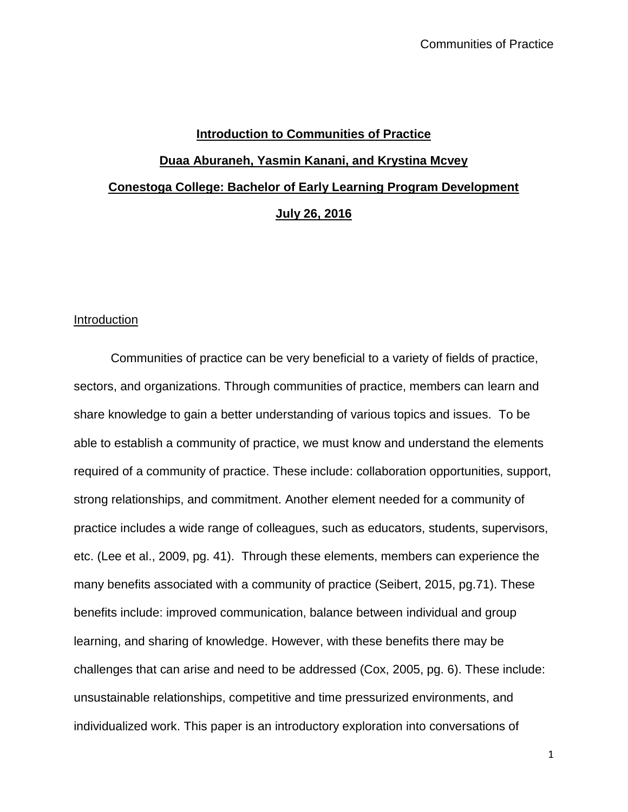# **Introduction to Communities of Practice Duaa Aburaneh, Yasmin Kanani, and Krystina Mcvey Conestoga College: Bachelor of Early Learning Program Development July 26, 2016**

## Introduction

Communities of practice can be very beneficial to a variety of fields of practice, sectors, and organizations. Through communities of practice, members can learn and share knowledge to gain a better understanding of various topics and issues. To be able to establish a community of practice, we must know and understand the elements required of a community of practice. These include: collaboration opportunities, support, strong relationships, and commitment. Another element needed for a community of practice includes a wide range of colleagues, such as educators, students, supervisors, etc. (Lee et al., 2009, pg. 41). Through these elements, members can experience the many benefits associated with a community of practice (Seibert, 2015, pg.71). These benefits include: improved communication, balance between individual and group learning, and sharing of knowledge. However, with these benefits there may be challenges that can arise and need to be addressed (Cox, 2005, pg. 6). These include: unsustainable relationships, competitive and time pressurized environments, and individualized work. This paper is an introductory exploration into conversations of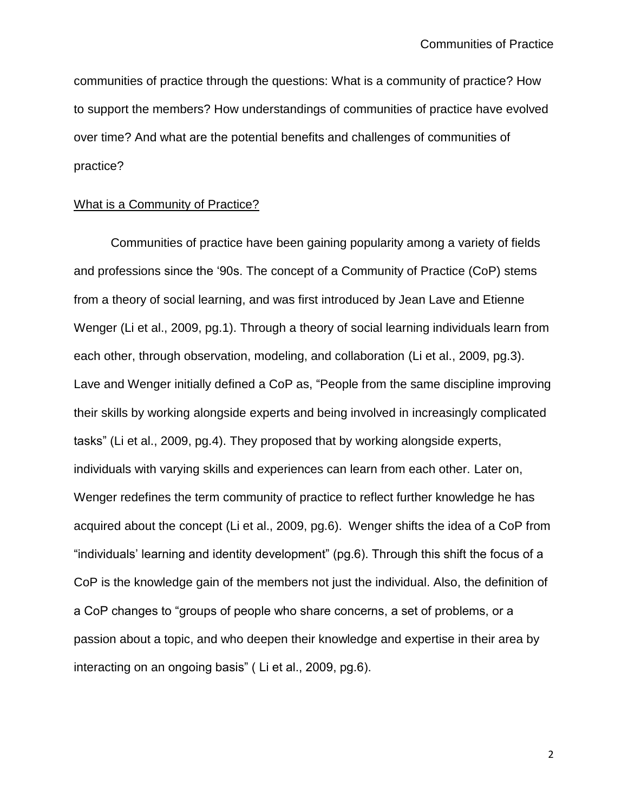communities of practice through the questions: What is a community of practice? How to support the members? How understandings of communities of practice have evolved over time? And what are the potential benefits and challenges of communities of practice?

## What is a Community of Practice?

Communities of practice have been gaining popularity among a variety of fields and professions since the '90s. The concept of a Community of Practice (CoP) stems from a theory of social learning, and was first introduced by Jean Lave and Etienne Wenger (Li et al., 2009, pg.1). Through a theory of social learning individuals learn from each other, through observation, modeling, and collaboration (Li et al., 2009, pg.3). Lave and Wenger initially defined a CoP as, "People from the same discipline improving their skills by working alongside experts and being involved in increasingly complicated tasks" (Li et al., 2009, pg.4). They proposed that by working alongside experts, individuals with varying skills and experiences can learn from each other. Later on, Wenger redefines the term community of practice to reflect further knowledge he has acquired about the concept (Li et al., 2009, pg.6). Wenger shifts the idea of a CoP from "individuals' learning and identity development" (pg.6). Through this shift the focus of a CoP is the knowledge gain of the members not just the individual. Also, the definition of a CoP changes to "groups of people who share concerns, a set of problems, or a passion about a topic, and who deepen their knowledge and expertise in their area by interacting on an ongoing basis" ( Li et al., 2009, pg.6).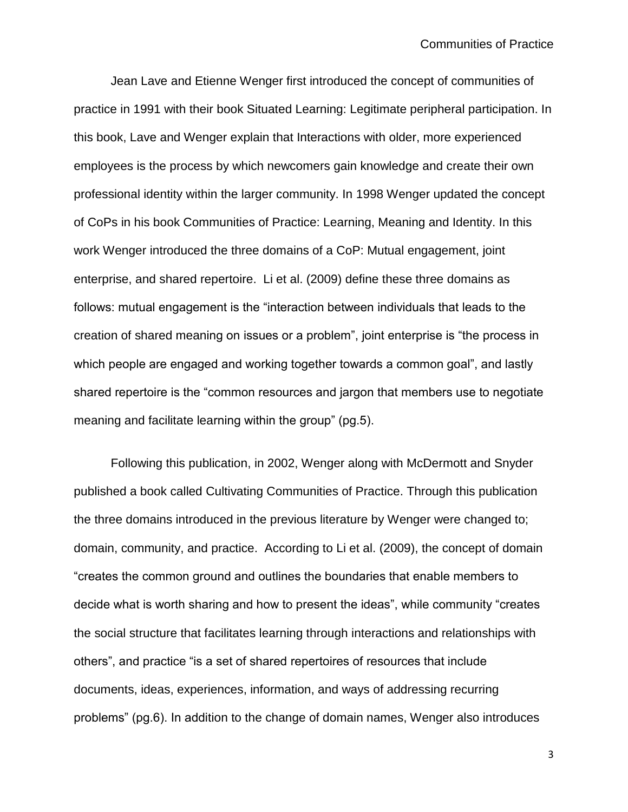Jean Lave and Etienne Wenger first introduced the concept of communities of practice in 1991 with their book Situated Learning: Legitimate peripheral participation. In this book, Lave and Wenger explain that Interactions with older, more experienced employees is the process by which newcomers gain knowledge and create their own professional identity within the larger community. In 1998 Wenger updated the concept of CoPs in his book Communities of Practice: Learning, Meaning and Identity. In this work Wenger introduced the three domains of a CoP: Mutual engagement, joint enterprise, and shared repertoire. Li et al. (2009) define these three domains as follows: mutual engagement is the "interaction between individuals that leads to the creation of shared meaning on issues or a problem", joint enterprise is "the process in which people are engaged and working together towards a common goal", and lastly shared repertoire is the "common resources and jargon that members use to negotiate meaning and facilitate learning within the group" (pg.5).

Following this publication, in 2002, Wenger along with McDermott and Snyder published a book called Cultivating Communities of Practice. Through this publication the three domains introduced in the previous literature by Wenger were changed to; domain, community, and practice. According to Li et al. (2009), the concept of domain "creates the common ground and outlines the boundaries that enable members to decide what is worth sharing and how to present the ideas", while community "creates the social structure that facilitates learning through interactions and relationships with others", and practice "is a set of shared repertoires of resources that include documents, ideas, experiences, information, and ways of addressing recurring problems" (pg.6). In addition to the change of domain names, Wenger also introduces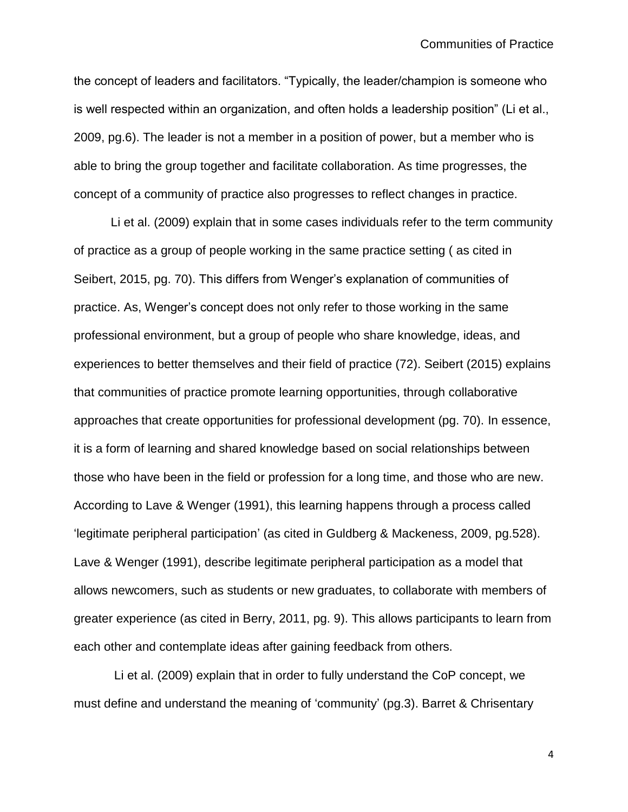the concept of leaders and facilitators. "Typically, the leader/champion is someone who is well respected within an organization, and often holds a leadership position" (Li et al., 2009, pg.6). The leader is not a member in a position of power, but a member who is able to bring the group together and facilitate collaboration. As time progresses, the concept of a community of practice also progresses to reflect changes in practice.

Li et al. (2009) explain that in some cases individuals refer to the term community of practice as a group of people working in the same practice setting ( as cited in Seibert, 2015, pg. 70). This differs from Wenger's explanation of communities of practice. As, Wenger's concept does not only refer to those working in the same professional environment, but a group of people who share knowledge, ideas, and experiences to better themselves and their field of practice (72). Seibert (2015) explains that communities of practice promote learning opportunities, through collaborative approaches that create opportunities for professional development (pg. 70). In essence, it is a form of learning and shared knowledge based on social relationships between those who have been in the field or profession for a long time, and those who are new. According to Lave & Wenger (1991), this learning happens through a process called 'legitimate peripheral participation' (as cited in Guldberg & Mackeness, 2009, pg.528). Lave & Wenger (1991), describe legitimate peripheral participation as a model that allows newcomers, such as students or new graduates, to collaborate with members of greater experience (as cited in Berry, 2011, pg. 9). This allows participants to learn from each other and contemplate ideas after gaining feedback from others.

Li et al. (2009) explain that in order to fully understand the CoP concept, we must define and understand the meaning of 'community' (pg.3). Barret & Chrisentary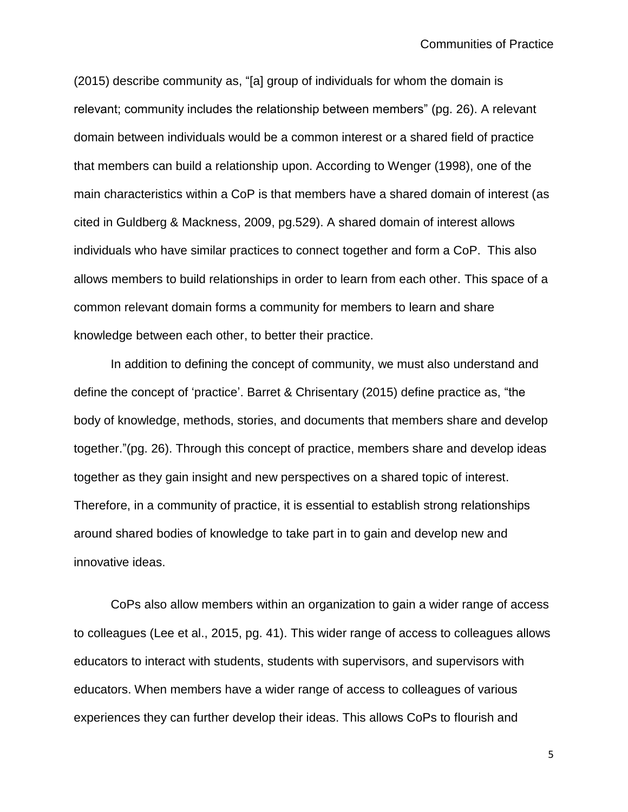(2015) describe community as, "[a] group of individuals for whom the domain is relevant; community includes the relationship between members" (pg. 26). A relevant domain between individuals would be a common interest or a shared field of practice that members can build a relationship upon. According to Wenger (1998), one of the main characteristics within a CoP is that members have a shared domain of interest (as cited in Guldberg & Mackness, 2009, pg.529). A shared domain of interest allows individuals who have similar practices to connect together and form a CoP. This also allows members to build relationships in order to learn from each other. This space of a common relevant domain forms a community for members to learn and share knowledge between each other, to better their practice.

In addition to defining the concept of community, we must also understand and define the concept of 'practice'. Barret & Chrisentary (2015) define practice as, "the body of knowledge, methods, stories, and documents that members share and develop together."(pg. 26). Through this concept of practice, members share and develop ideas together as they gain insight and new perspectives on a shared topic of interest. Therefore, in a community of practice, it is essential to establish strong relationships around shared bodies of knowledge to take part in to gain and develop new and innovative ideas.

CoPs also allow members within an organization to gain a wider range of access to colleagues (Lee et al., 2015, pg. 41). This wider range of access to colleagues allows educators to interact with students, students with supervisors, and supervisors with educators. When members have a wider range of access to colleagues of various experiences they can further develop their ideas. This allows CoPs to flourish and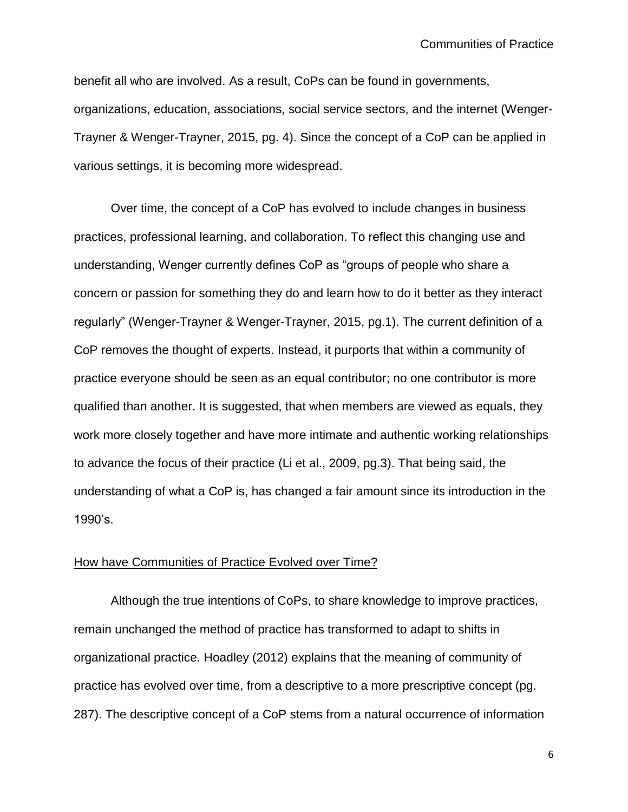benefit all who are involved. As a result, CoPs can be found in governments, organizations, education, associations, social service sectors, and the internet (Wenger-Trayner & Wenger-Trayner, 2015, pg. 4). Since the concept of a CoP can be applied in various settings, it is becoming more widespread.

Over time, the concept of a CoP has evolved to include changes in business practices, professional learning, and collaboration. To reflect this changing use and understanding, Wenger currently defines CoP as "groups of people who share a concern or passion for something they do and learn how to do it better as they interact regularly" (Wenger-Trayner & Wenger-Trayner, 2015, pg.1). The current definition of a CoP removes the thought of experts. Instead, it purports that within a community of practice everyone should be seen as an equal contributor; no one contributor is more qualified than another. It is suggested, that when members are viewed as equals, they work more closely together and have more intimate and authentic working relationships to advance the focus of their practice (Li et al., 2009, pg.3). That being said, the understanding of what a CoP is, has changed a fair amount since its introduction in the 1990's.

## How have Communities of Practice Evolved over Time?

Although the true intentions of CoPs, to share knowledge to improve practices, remain unchanged the method of practice has transformed to adapt to shifts in organizational practice. Hoadley (2012) explains that the meaning of community of practice has evolved over time, from a descriptive to a more prescriptive concept (pg. 287). The descriptive concept of a CoP stems from a natural occurrence of information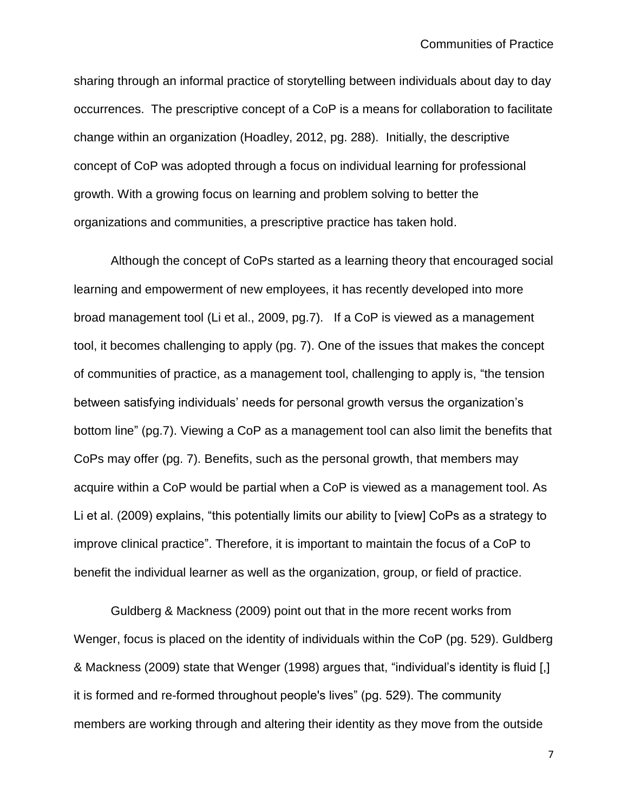sharing through an informal practice of storytelling between individuals about day to day occurrences. The prescriptive concept of a CoP is a means for collaboration to facilitate change within an organization (Hoadley, 2012, pg. 288). Initially, the descriptive concept of CoP was adopted through a focus on individual learning for professional growth. With a growing focus on learning and problem solving to better the organizations and communities, a prescriptive practice has taken hold.

Although the concept of CoPs started as a learning theory that encouraged social learning and empowerment of new employees, it has recently developed into more broad management tool (Li et al., 2009, pg.7). If a CoP is viewed as a management tool, it becomes challenging to apply (pg. 7). One of the issues that makes the concept of communities of practice, as a management tool, challenging to apply is, "the tension between satisfying individuals' needs for personal growth versus the organization's bottom line" (pg.7). Viewing a CoP as a management tool can also limit the benefits that CoPs may offer (pg. 7). Benefits, such as the personal growth, that members may acquire within a CoP would be partial when a CoP is viewed as a management tool. As Li et al. (2009) explains, "this potentially limits our ability to [view] CoPs as a strategy to improve clinical practice". Therefore, it is important to maintain the focus of a CoP to benefit the individual learner as well as the organization, group, or field of practice.

Guldberg & Mackness (2009) point out that in the more recent works from Wenger, focus is placed on the identity of individuals within the CoP (pg. 529). Guldberg & Mackness (2009) state that Wenger (1998) argues that, "individual's identity is fluid [,] it is formed and re-formed throughout people's lives" (pg. 529). The community members are working through and altering their identity as they move from the outside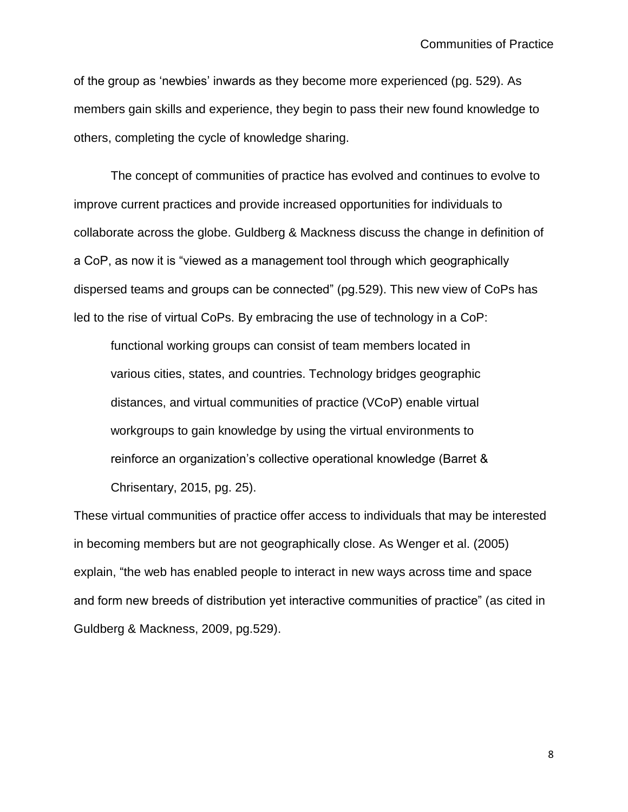of the group as 'newbies' inwards as they become more experienced (pg. 529). As members gain skills and experience, they begin to pass their new found knowledge to others, completing the cycle of knowledge sharing.

The concept of communities of practice has evolved and continues to evolve to improve current practices and provide increased opportunities for individuals to collaborate across the globe. Guldberg & Mackness discuss the change in definition of a CoP, as now it is "viewed as a management tool through which geographically dispersed teams and groups can be connected" (pg.529). This new view of CoPs has led to the rise of virtual CoPs. By embracing the use of technology in a CoP:

functional working groups can consist of team members located in various cities, states, and countries. Technology bridges geographic distances, and virtual communities of practice (VCoP) enable virtual workgroups to gain knowledge by using the virtual environments to reinforce an organization's collective operational knowledge (Barret & Chrisentary, 2015, pg. 25).

These virtual communities of practice offer access to individuals that may be interested in becoming members but are not geographically close. As Wenger et al. (2005) explain, "the web has enabled people to interact in new ways across time and space and form new breeds of distribution yet interactive communities of practice" (as cited in Guldberg & Mackness, 2009, pg.529).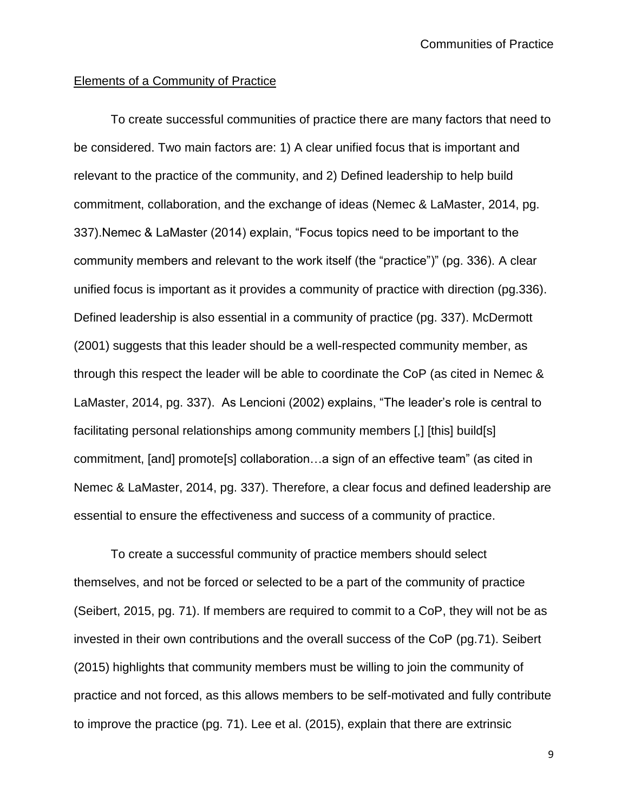## Elements of a Community of Practice

To create successful communities of practice there are many factors that need to be considered. Two main factors are: 1) A clear unified focus that is important and relevant to the practice of the community, and 2) Defined leadership to help build commitment, collaboration, and the exchange of ideas (Nemec & LaMaster, 2014, pg. 337).Nemec & LaMaster (2014) explain, "Focus topics need to be important to the community members and relevant to the work itself (the "practice")" (pg. 336). A clear unified focus is important as it provides a community of practice with direction (pg.336). Defined leadership is also essential in a community of practice (pg. 337). McDermott (2001) suggests that this leader should be a well-respected community member, as through this respect the leader will be able to coordinate the CoP (as cited in Nemec & LaMaster, 2014, pg. 337). As Lencioni (2002) explains, "The leader's role is central to facilitating personal relationships among community members [,] [this] build[s] commitment, [and] promote[s] collaboration…a sign of an effective team" (as cited in Nemec & LaMaster, 2014, pg. 337). Therefore, a clear focus and defined leadership are essential to ensure the effectiveness and success of a community of practice.

To create a successful community of practice members should select themselves, and not be forced or selected to be a part of the community of practice (Seibert, 2015, pg. 71). If members are required to commit to a CoP, they will not be as invested in their own contributions and the overall success of the CoP (pg.71). Seibert (2015) highlights that community members must be willing to join the community of practice and not forced, as this allows members to be self-motivated and fully contribute to improve the practice (pg. 71). Lee et al. (2015), explain that there are extrinsic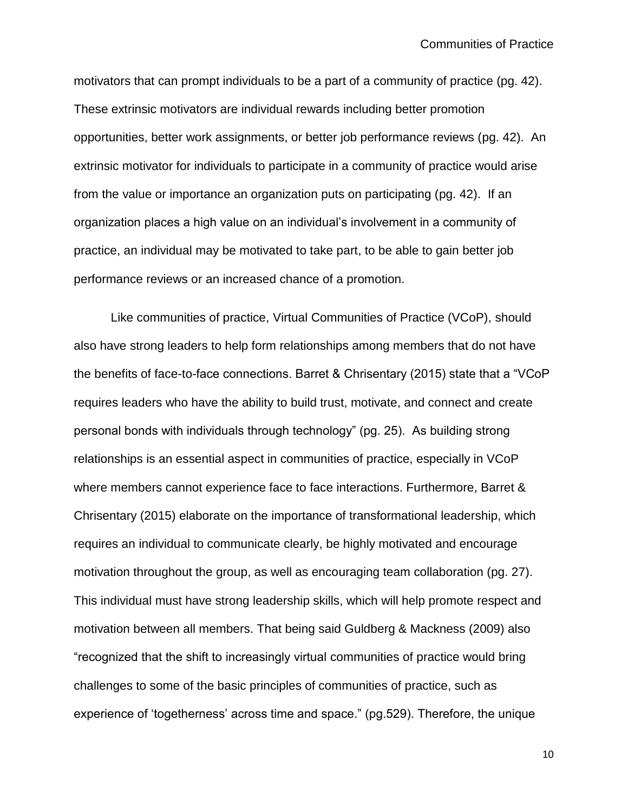motivators that can prompt individuals to be a part of a community of practice (pg. 42). These extrinsic motivators are individual rewards including better promotion opportunities, better work assignments, or better job performance reviews (pg. 42). An extrinsic motivator for individuals to participate in a community of practice would arise from the value or importance an organization puts on participating (pg. 42). If an organization places a high value on an individual's involvement in a community of practice, an individual may be motivated to take part, to be able to gain better job performance reviews or an increased chance of a promotion.

Like communities of practice, Virtual Communities of Practice (VCoP), should also have strong leaders to help form relationships among members that do not have the benefits of face-to-face connections. Barret & Chrisentary (2015) state that a "VCoP requires leaders who have the ability to build trust, motivate, and connect and create personal bonds with individuals through technology" (pg. 25). As building strong relationships is an essential aspect in communities of practice, especially in VCoP where members cannot experience face to face interactions. Furthermore, Barret & Chrisentary (2015) elaborate on the importance of transformational leadership, which requires an individual to communicate clearly, be highly motivated and encourage motivation throughout the group, as well as encouraging team collaboration (pg. 27). This individual must have strong leadership skills, which will help promote respect and motivation between all members. That being said Guldberg & Mackness (2009) also "recognized that the shift to increasingly virtual communities of practice would bring challenges to some of the basic principles of communities of practice, such as experience of 'togetherness' across time and space." (pg.529). Therefore, the unique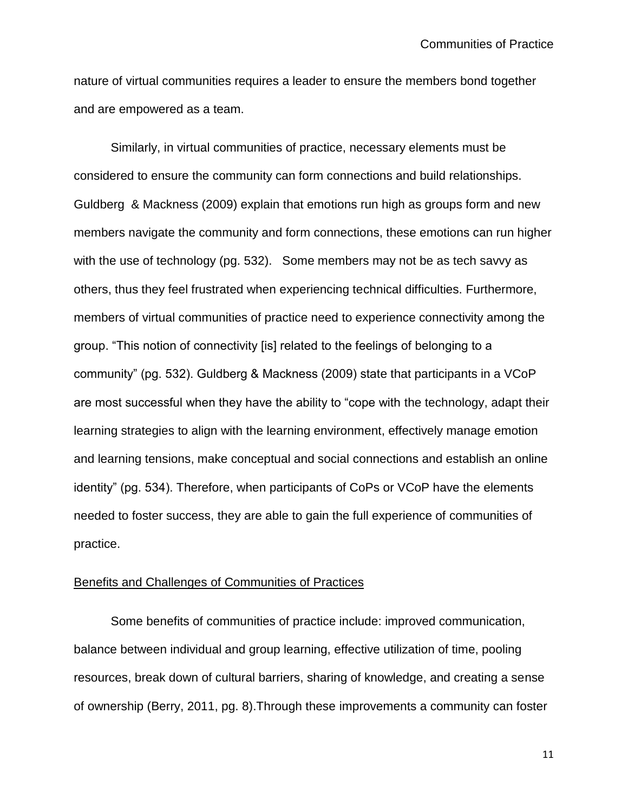nature of virtual communities requires a leader to ensure the members bond together and are empowered as a team.

Similarly, in virtual communities of practice, necessary elements must be considered to ensure the community can form connections and build relationships. Guldberg & Mackness (2009) explain that emotions run high as groups form and new members navigate the community and form connections, these emotions can run higher with the use of technology (pg. 532). Some members may not be as tech savvy as others, thus they feel frustrated when experiencing technical difficulties. Furthermore, members of virtual communities of practice need to experience connectivity among the group. "This notion of connectivity [is] related to the feelings of belonging to a community" (pg. 532). Guldberg & Mackness (2009) state that participants in a VCoP are most successful when they have the ability to "cope with the technology, adapt their learning strategies to align with the learning environment, effectively manage emotion and learning tensions, make conceptual and social connections and establish an online identity" (pg. 534). Therefore, when participants of CoPs or VCoP have the elements needed to foster success, they are able to gain the full experience of communities of practice.

## Benefits and Challenges of Communities of Practices

Some benefits of communities of practice include: improved communication, balance between individual and group learning, effective utilization of time, pooling resources, break down of cultural barriers, sharing of knowledge, and creating a sense of ownership (Berry, 2011, pg. 8).Through these improvements a community can foster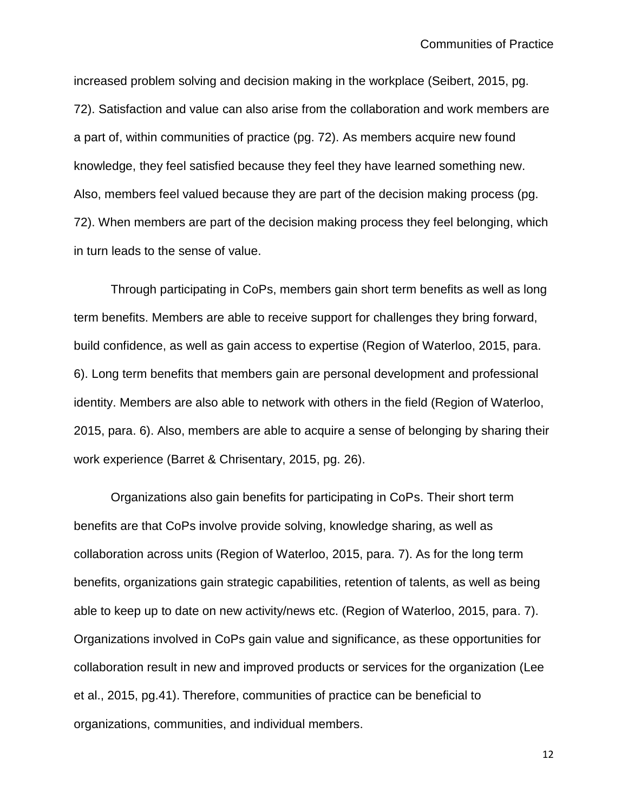increased problem solving and decision making in the workplace (Seibert, 2015, pg. 72). Satisfaction and value can also arise from the collaboration and work members are a part of, within communities of practice (pg. 72). As members acquire new found knowledge, they feel satisfied because they feel they have learned something new. Also, members feel valued because they are part of the decision making process (pg. 72). When members are part of the decision making process they feel belonging, which in turn leads to the sense of value.

Through participating in CoPs, members gain short term benefits as well as long term benefits. Members are able to receive support for challenges they bring forward, build confidence, as well as gain access to expertise (Region of Waterloo, 2015, para. 6). Long term benefits that members gain are personal development and professional identity. Members are also able to network with others in the field (Region of Waterloo, 2015, para. 6). Also, members are able to acquire a sense of belonging by sharing their work experience (Barret & Chrisentary, 2015, pg. 26).

Organizations also gain benefits for participating in CoPs. Their short term benefits are that CoPs involve provide solving, knowledge sharing, as well as collaboration across units (Region of Waterloo, 2015, para. 7). As for the long term benefits, organizations gain strategic capabilities, retention of talents, as well as being able to keep up to date on new activity/news etc. (Region of Waterloo, 2015, para. 7). Organizations involved in CoPs gain value and significance, as these opportunities for collaboration result in new and improved products or services for the organization (Lee et al., 2015, pg.41). Therefore, communities of practice can be beneficial to organizations, communities, and individual members.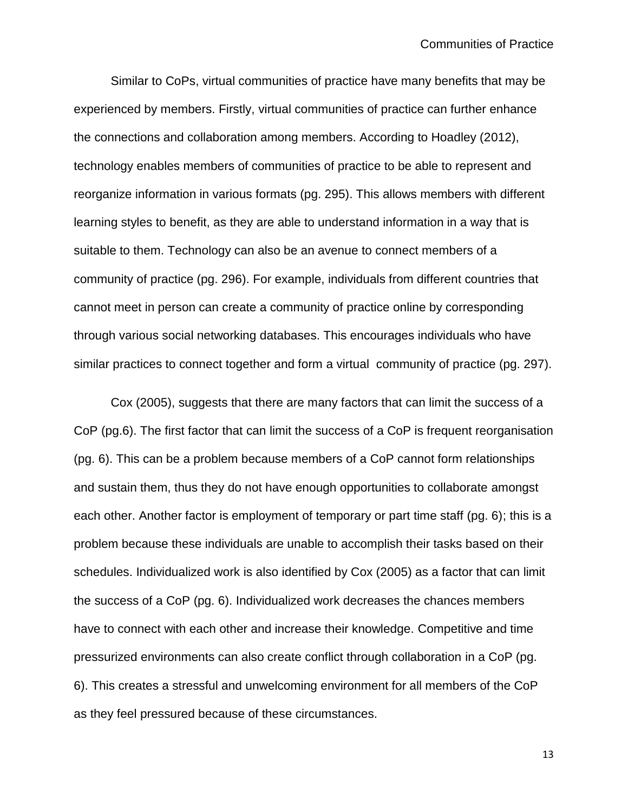Similar to CoPs, virtual communities of practice have many benefits that may be experienced by members. Firstly, virtual communities of practice can further enhance the connections and collaboration among members. According to Hoadley (2012), technology enables members of communities of practice to be able to represent and reorganize information in various formats (pg. 295). This allows members with different learning styles to benefit, as they are able to understand information in a way that is suitable to them. Technology can also be an avenue to connect members of a community of practice (pg. 296). For example, individuals from different countries that cannot meet in person can create a community of practice online by corresponding through various social networking databases. This encourages individuals who have similar practices to connect together and form a virtual community of practice (pg. 297).

Cox (2005), suggests that there are many factors that can limit the success of a CoP (pg.6). The first factor that can limit the success of a CoP is frequent reorganisation (pg. 6). This can be a problem because members of a CoP cannot form relationships and sustain them, thus they do not have enough opportunities to collaborate amongst each other. Another factor is employment of temporary or part time staff (pg. 6); this is a problem because these individuals are unable to accomplish their tasks based on their schedules. Individualized work is also identified by Cox (2005) as a factor that can limit the success of a CoP (pg. 6). Individualized work decreases the chances members have to connect with each other and increase their knowledge. Competitive and time pressurized environments can also create conflict through collaboration in a CoP (pg. 6). This creates a stressful and unwelcoming environment for all members of the CoP as they feel pressured because of these circumstances.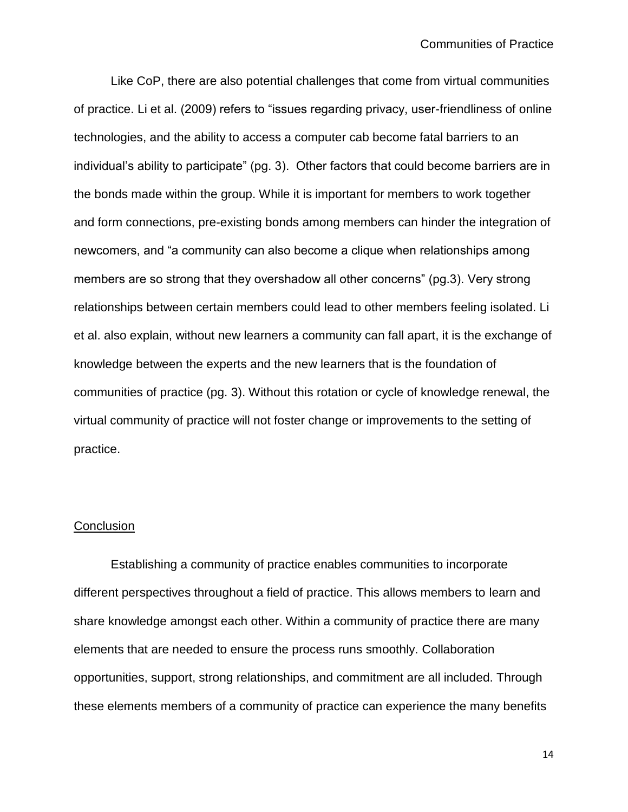Like CoP, there are also potential challenges that come from virtual communities of practice. Li et al. (2009) refers to "issues regarding privacy, user-friendliness of online technologies, and the ability to access a computer cab become fatal barriers to an individual's ability to participate" (pg. 3). Other factors that could become barriers are in the bonds made within the group. While it is important for members to work together and form connections, pre-existing bonds among members can hinder the integration of newcomers, and "a community can also become a clique when relationships among members are so strong that they overshadow all other concerns" (pg.3). Very strong relationships between certain members could lead to other members feeling isolated. Li et al. also explain, without new learners a community can fall apart, it is the exchange of knowledge between the experts and the new learners that is the foundation of communities of practice (pg. 3). Without this rotation or cycle of knowledge renewal, the virtual community of practice will not foster change or improvements to the setting of practice.

## **Conclusion**

Establishing a community of practice enables communities to incorporate different perspectives throughout a field of practice. This allows members to learn and share knowledge amongst each other. Within a community of practice there are many elements that are needed to ensure the process runs smoothly. Collaboration opportunities, support, strong relationships, and commitment are all included. Through these elements members of a community of practice can experience the many benefits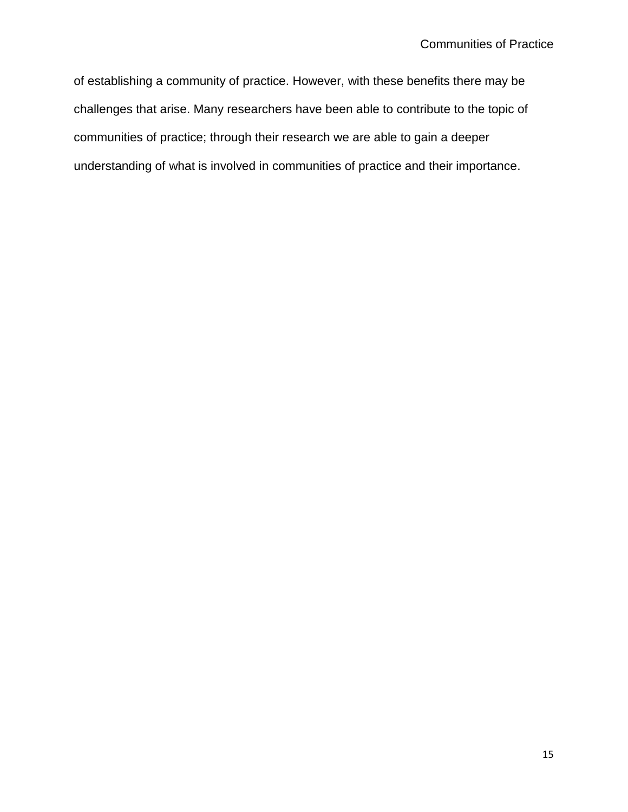of establishing a community of practice. However, with these benefits there may be challenges that arise. Many researchers have been able to contribute to the topic of communities of practice; through their research we are able to gain a deeper understanding of what is involved in communities of practice and their importance.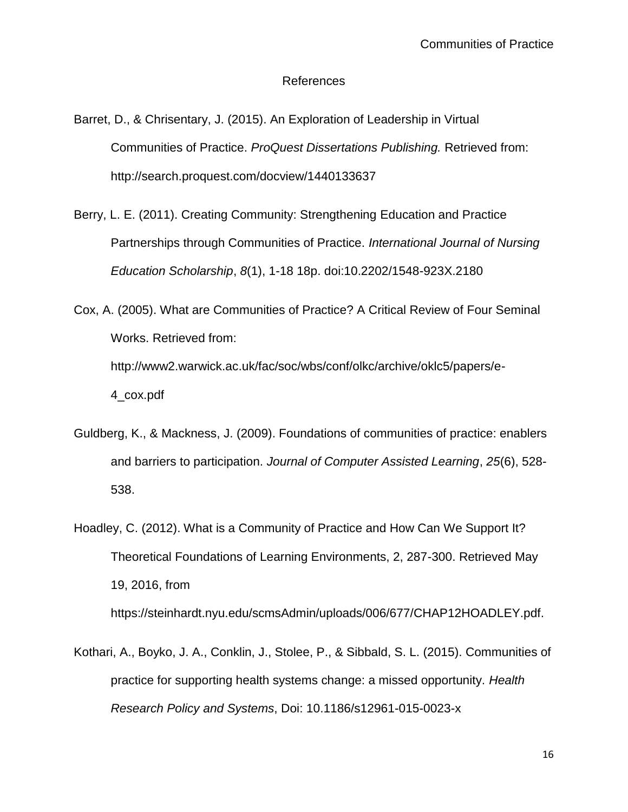## References

- Barret, D., & Chrisentary, J. (2015). An Exploration of Leadership in Virtual Communities of Practice. *ProQuest Dissertations Publishing.* Retrieved from: http://search.proquest.com/docview/1440133637
- Berry, L. E. (2011). Creating Community: Strengthening Education and Practice Partnerships through Communities of Practice. *International Journal of Nursing Education Scholarship*, *8*(1), 1-18 18p. doi:10.2202/1548-923X.2180
- Cox, A. (2005). What are Communities of Practice? A Critical Review of Four Seminal Works. Retrieved from: http://www2.warwick.ac.uk/fac/soc/wbs/conf/olkc/archive/oklc5/papers/e-4\_cox.pdf
- Guldberg, K., & Mackness, J. (2009). Foundations of communities of practice: enablers and barriers to participation. *Journal of Computer Assisted Learning*, *25*(6), 528- 538.
- Hoadley, C. (2012). What is a Community of Practice and How Can We Support It? Theoretical Foundations of Learning Environments, 2, 287-300. Retrieved May 19, 2016, from

https://steinhardt.nyu.edu/scmsAdmin/uploads/006/677/CHAP12HOADLEY.pdf.

Kothari, A., Boyko, J. A., Conklin, J., Stolee, P., & Sibbald, S. L. (2015). Communities of practice for supporting health systems change: a missed opportunity. *Health Research Policy and Systems*, Doi: 10.1186/s12961-015-0023-x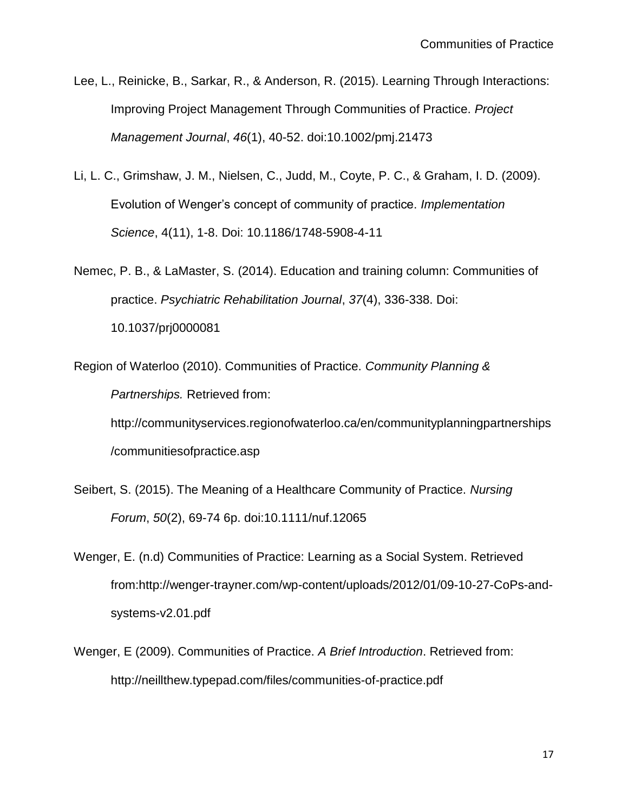- Lee, L., Reinicke, B., Sarkar, R., & Anderson, R. (2015). Learning Through Interactions: Improving Project Management Through Communities of Practice. *Project Management Journal*, *46*(1), 40-52. doi:10.1002/pmj.21473
- Li, L. C., Grimshaw, J. M., Nielsen, C., Judd, M., Coyte, P. C., & Graham, I. D. (2009). Evolution of Wenger's concept of community of practice. *Implementation Science*, 4(11), 1-8. Doi: 10.1186/1748-5908-4-11
- Nemec, P. B., & LaMaster, S. (2014). Education and training column: Communities of practice. *Psychiatric Rehabilitation Journal*, *37*(4), 336-338. Doi: 10.1037/prj0000081
- Region of Waterloo (2010). Communities of Practice. *Community Planning & Partnerships.* Retrieved from: http://communityservices.regionofwaterloo.ca/en/communityplanningpartnerships /communitiesofpractice.asp
- Seibert, S. (2015). The Meaning of a Healthcare Community of Practice. *Nursing Forum*, *50*(2), 69-74 6p. doi:10.1111/nuf.12065
- Wenger, E. (n.d) Communities of Practice: Learning as a Social System. Retrieved from:http://wenger-trayner.com/wp-content/uploads/2012/01/09-10-27-CoPs-andsystems-v2.01.pdf
- Wenger, E (2009). Communities of Practice. *A Brief Introduction*. Retrieved from: http://neillthew.typepad.com/files/communities-of-practice.pdf